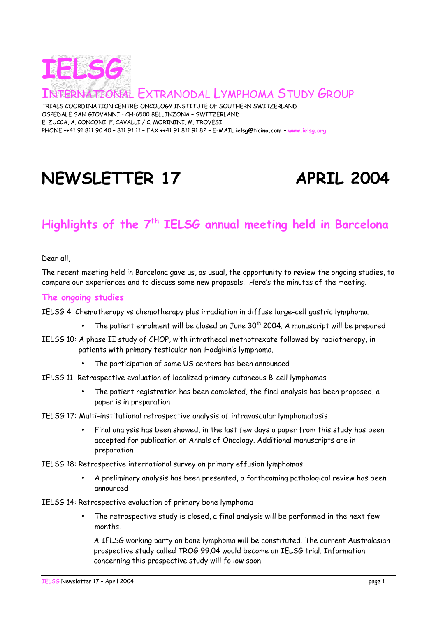

NATIONAL EXTRANODAL LYMPHOMA STUDY GROUP

TRIALS COORDINATION CENTRE: ONCOLOGY INSTITUTE OF SOUTHERN SWITZERLAND OSPEDALE SAN GIOVANNI - CH-6500 BELLINZONA – SWITZERLAND E. ZUCCA, A. CONCONI, F. CAVALLI / C. MORININI, M. TROVESI PHONE ++41 91 811 90 40 – 811 91 11 – FAX ++41 91 811 91 82 – E-MAIL **ielsg@ticino.com** – **www.ielsg.org**

# NEWSLETTER 17 APRIL 2004

# **Highlights of the 7th IELSG annual meeting held in Barcelona**

Dear all,

The recent meeting held in Barcelona gave us, as usual, the opportunity to review the ongoing studies, to compare our experiences and to discuss some new proposals. Here's the minutes of the meeting.

#### **The ongoing studies**

IELSG 4: Chemotherapy vs chemotherapy plus irradiation in diffuse large-cell gastric lymphoma.

- The patient enrolment will be closed on June  $30<sup>th</sup>$  2004. A manuscript will be prepared
- IELSG 10: A phase II study of CHOP, with intrathecal methotrexate followed by radiotherapy, in patients with primary testicular non-Hodgkin's lymphoma.
	- The participation of some US centers has been announced
- IELSG 11: Retrospective evaluation of localized primary cutaneous B-cell lymphomas
	- The patient registration has been completed, the final analysis has been proposed, a paper is in preparation

#### IELSG 17: Multi-institutional retrospective analysis of intravascular lymphomatosis

- Final analysis has been showed, in the last few days a paper from this study has been accepted for publication on Annals of Oncology. Additional manuscripts are in preparation
- IELSG 18: Retrospective international survey on primary effusion lymphomas
	- A preliminary analysis has been presented, a forthcoming pathological review has been announced
- IELSG 14: Retrospective evaluation of primary bone lymphoma
	- The retrospective study is closed, a final analysis will be performed in the next few months.

A IELSG working party on bone lymphoma will be constituted. The current Australasian prospective study called TROG 99.04 would become an IELSG trial. Information concerning this prospective study will follow soon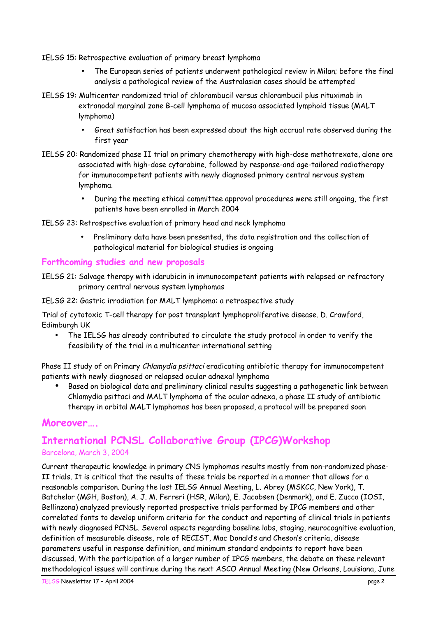IELSG 15: Retrospective evaluation of primary breast lymphoma

- The European series of patients underwent pathological review in Milan; before the final analysis a pathological review of the Australasian cases should be attempted
- IELSG 19: Multicenter randomized trial of chlorambucil versus chlorambucil plus rituximab in extranodal marginal zone B-cell lymphoma of mucosa associated lymphoid tissue (MALT lymphoma)
	- Great satisfaction has been expressed about the high accrual rate observed during the first year
- IELSG 20: Randomized phase II trial on primary chemotherapy with high-dose methotrexate, alone ore associated with high-dose cytarabine, followed by response-and age-tailored radiotherapy for immunocompetent patients with newly diagnosed primary central nervous system lymphoma.
	- During the meeting ethical committee approval procedures were still ongoing, the first patients have been enrolled in March 2004
- IELSG 23: Retrospective evaluation of primary head and neck lymphoma
	- Preliminary data have been presented, the data registration and the collection of pathological material for biological studies is ongoing

## **Forthcoming studies and new proposals**

IELSG 21: Salvage therapy with idarubicin in immunocompetent patients with relapsed or refractory primary central nervous system lymphomas

IELSG 22: Gastric irradiation for MALT lymphoma: a retrospective study

Trial of cytotoxic T-cell therapy for post transplant lymphoproliferative disease. D. Crawford, Edimburgh UK

• The IELSG has already contributed to circulate the study protocol in order to verify the feasibility of the trial in a multicenter international setting

Phase II study of on Primary Chlamydia psittaci eradicating antibiotic therapy for immunocompetent patients with newly diagnosed or relapsed ocular adnexal lymphoma

• Based on biological data and preliminary clinical results suggesting a pathogenetic link between Chlamydia psittaci and MALT lymphoma of the ocular adnexa, a phase II study of antibiotic therapy in orbital MALT lymphomas has been proposed, a protocol will be prepared soon

# **Moreover….**

# **International PCNSL Collaborative Group (IPCG)Workshop** Barcelona, March 3, 2004

Current therapeutic knowledge in primary CNS lymphomas results mostly from non-randomized phase-II trials. It is critical that the results of these trials be reported in a manner that allows for a reasonable comparison. During the last IELSG Annual Meeting, L. Abrey (MSKCC, New York), T. Batchelor (MGH, Boston), A. J. M. Ferreri (HSR, Milan), E. Jacobsen (Denmark), and E. Zucca (IOSI, Bellinzona) analyzed previously reported prospective trials performed by IPCG members and other correlated fonts to develop uniform criteria for the conduct and reporting of clinical trials in patients with newly diagnosed PCNSL. Several aspects regarding baseline labs, staging, neurocognitive evaluation, definition of measurable disease, role of RECIST, Mac Donald's and Cheson's criteria, disease parameters useful in response definition, and minimum standard endpoints to report have been discussed. With the participation of a larger number of IPCG members, the debate on these relevant methodological issues will continue during the next ASCO Annual Meeting (New Orleans, Louisiana, June